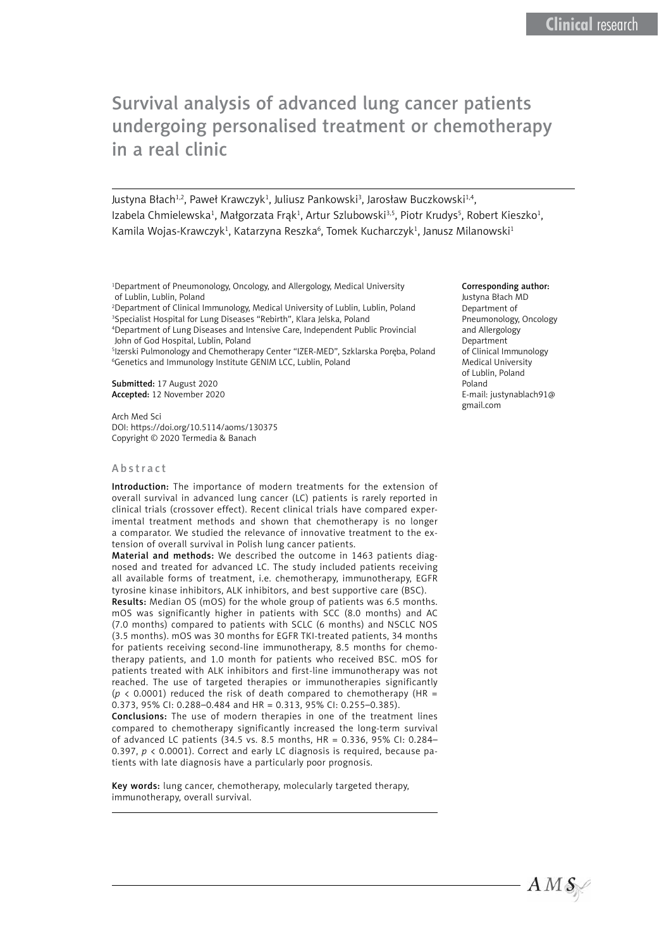# Survival analysis of advanced lung cancer patients undergoing personalised treatment or chemotherapy in a real clinic

Justyna Błach<sup>1,2</sup>, Paweł Krawczyk<sup>1</sup>, Juliusz Pankowski<sup>3</sup>, Jarosław Buczkowski<sup>1,4</sup>, Izabela Chmielewska<sup>1</sup>, Małgorzata Frąk<sup>1</sup>, Artur Szlubowski<sup>3,5</sup>, Piotr Krudys<sup>5</sup>, Robert Kieszko<sup>1</sup>, Kamila Wojas-Krawczyk<sup>1</sup>, Katarzyna Reszka<sup>6</sup>, Tomek Kucharczyk<sup>1</sup>, Janusz Milanowski<sup>1</sup>

1 Department of Pneumonology, Oncology, and Allergology, Medical University of Lublin, Lublin, Poland

2 Department of Clinical Immunology, Medical University of Lublin, Lublin, Poland 3 Specialist Hospital for Lung Diseases "Rebirth", Klara Jelska, Poland

4 Department of Lung Diseases and Intensive Care, Independent Public Provincial John of God Hospital, Lublin, Poland

5 Izerski Pulmonology and Chemotherapy Center "IZER-MED", Szklarska Poręba, Poland 6 Genetics and Immunology Institute GENIM LCC, Lublin, Poland

Submitted: 17 August 2020 Accepted: 12 November 2020

Arch Med Sci DOI: https://doi.org/10.5114/aoms/130375 Copyright © 2020 Termedia & Banach

#### Abstract

Introduction: The importance of modern treatments for the extension of overall survival in advanced lung cancer (LC) patients is rarely reported in clinical trials (crossover effect). Recent clinical trials have compared experimental treatment methods and shown that chemotherapy is no longer a comparator. We studied the relevance of innovative treatment to the extension of overall survival in Polish lung cancer patients.

Material and methods: We described the outcome in 1463 patients diagnosed and treated for advanced LC. The study included patients receiving all available forms of treatment, i.e. chemotherapy, immunotherapy, EGFR tyrosine kinase inhibitors, ALK inhibitors, and best supportive care (BSC).

Results: Median OS (mOS) for the whole group of patients was 6.5 months. mOS was significantly higher in patients with SCC (8.0 months) and AC (7.0 months) compared to patients with SCLC (6 months) and NSCLC NOS (3.5 months). mOS was 30 months for EGFR TKI-treated patients, 34 months for patients receiving second-line immunotherapy, 8.5 months for chemotherapy patients, and 1.0 month for patients who received BSC. mOS for patients treated with ALK inhibitors and first-line immunotherapy was not reached. The use of targeted therapies or immunotherapies significantly ( $p$  < 0.0001) reduced the risk of death compared to chemotherapy (HR = 0.373, 95% CI: 0.288–0.484 and HR = 0.313, 95% CI: 0.255–0.385).

Conclusions: The use of modern therapies in one of the treatment lines compared to chemotherapy significantly increased the long-term survival of advanced LC patients (34.5 vs. 8.5 months, HR = 0.336, 95% CI: 0.284– 0.397, *p* < 0.0001). Correct and early LC diagnosis is required, because patients with late diagnosis have a particularly poor prognosis.

Key words: lung cancer, chemotherapy, molecularly targeted therapy, immunotherapy, overall survival.

#### Corresponding author:

Justyna Błach MD Department of Pneumonology, Oncology and Allergology Department of Clinical Immunology Medical University of Lublin, Poland Poland E-mail: [justynablach91@](mailto:justynablach91@gmail.com) [gmail.com](mailto:justynablach91@gmail.com)

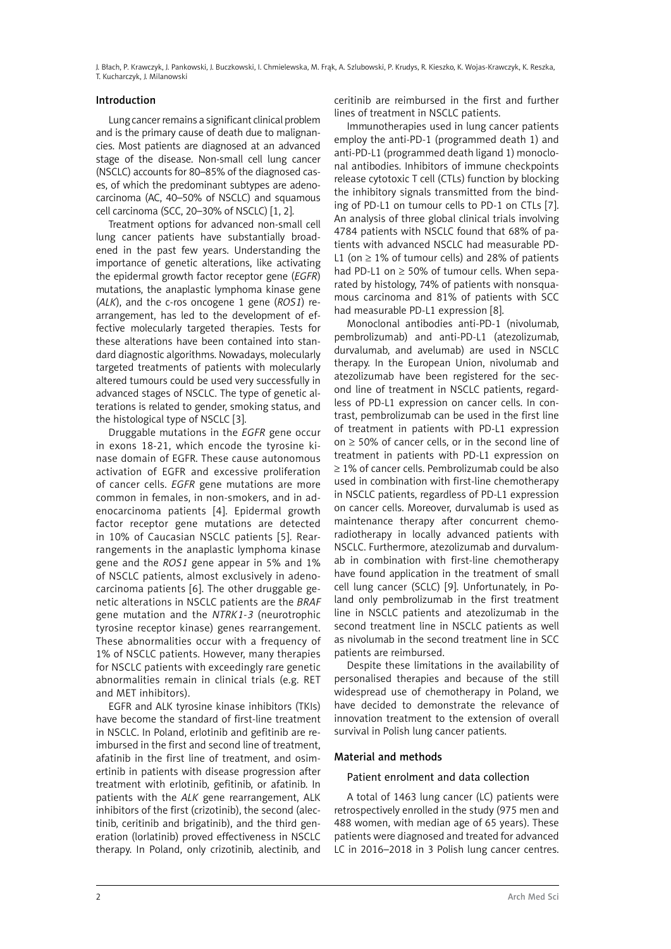## Introduction

Lung cancer remains a significant clinical problem and is the primary cause of death due to malignancies. Most patients are diagnosed at an advanced stage of the disease. Non-small cell lung cancer (NSCLC) accounts for 80–85% of the diagnosed cases, of which the predominant subtypes are adenocarcinoma (AC, 40–50% of NSCLC) and squamous cell carcinoma (SCC, 20–30% of NSCLC) [1, 2].

Treatment options for advanced non-small cell lung cancer patients have substantially broadened in the past few years. Understanding the importance of genetic alterations, like activating the epidermal growth factor receptor gene (*EGFR*) mutations, the anaplastic lymphoma kinase gene (*ALK*), and the c-ros oncogene 1 gene (*ROS1*) rearrangement, has led to the development of effective molecularly targeted therapies. Tests for these alterations have been contained into standard diagnostic algorithms. Nowadays, molecularly targeted treatments of patients with molecularly altered tumours could be used very successfully in advanced stages of NSCLC. The type of genetic alterations is related to gender, smoking status, and the histological type of NSCLC [3].

Druggable mutations in the *EGFR* gene occur in exons 18-21, which encode the tyrosine kinase domain of EGFR. These cause autonomous activation of EGFR and excessive proliferation of cancer cells. *EGFR* gene mutations are more common in females, in non-smokers, and in adenocarcinoma patients [4]. Epidermal growth factor receptor gene mutations are detected in 10% of Caucasian NSCLC patients [5]. Rearrangements in the anaplastic lymphoma kinase gene and the *ROS1* gene appear in 5% and 1% of NSCLC patients, almost exclusively in adenocarcinoma patients [6]. The other druggable genetic alterations in NSCLC patients are the *BRAF* gene mutation and the *NTRK1-3* (neurotrophic tyrosine receptor kinase) genes rearrangement. These abnormalities occur with a frequency of 1% of NSCLC patients. However, many therapies for NSCLC patients with exceedingly rare genetic abnormalities remain in clinical trials (e.g. RET and MET inhibitors).

EGFR and ALK tyrosine kinase inhibitors (TKIs) have become the standard of first-line treatment in NSCLC. In Poland, erlotinib and gefitinib are reimbursed in the first and second line of treatment, afatinib in the first line of treatment, and osimertinib in patients with disease progression after treatment with erlotinib, gefitinib, or afatinib. In patients with the *ALK* gene rearrangement, ALK inhibitors of the first (crizotinib), the second (alectinib, ceritinib and brigatinib), and the third generation (lorlatinib) proved effectiveness in NSCLC therapy. In Poland, only crizotinib, alectinib, and ceritinib are reimbursed in the first and further lines of treatment in NSCLC patients.

Immunotherapies used in lung cancer patients employ the anti-PD-1 (programmed death 1) and anti-PD-L1 (programmed death ligand 1) monoclonal antibodies. Inhibitors of immune checkpoints release cytotoxic T cell (CTLs) function by blocking the inhibitory signals transmitted from the binding of PD-L1 on tumour cells to PD-1 on CTLs [7]. An analysis of three global clinical trials involving 4784 patients with NSCLC found that 68% of patients with advanced NSCLC had measurable PD-L1 (on  $\geq$  1% of tumour cells) and 28% of patients had PD-L1 on  $\geq$  50% of tumour cells. When separated by histology, 74% of patients with nonsquamous carcinoma and 81% of patients with SCC had measurable PD-L1 expression [8].

Monoclonal antibodies anti-PD-1 (nivolumab, pembrolizumab) and anti-PD-L1 (atezolizumab, durvalumab, and avelumab) are used in NSCLC therapy. In the European Union, nivolumab and atezolizumab have been registered for the second line of treatment in NSCLC patients, regardless of PD-L1 expression on cancer cells. In contrast, pembrolizumab can be used in the first line of treatment in patients with PD-L1 expression on ≥ 50% of cancer cells, or in the second line of treatment in patients with PD-L1 expression on ≥ 1% of cancer cells. Pembrolizumab could be also used in combination with first-line chemotherapy in NSCLC patients, regardless of PD-L1 expression on cancer cells. Moreover, durvalumab is used as maintenance therapy after concurrent chemoradiotherapy in locally advanced patients with NSCLC. Furthermore, atezolizumab and durvalumab in combination with first-line chemotherapy have found application in the treatment of small cell lung cancer (SCLC) [9]. Unfortunately, in Poland only pembrolizumab in the first treatment line in NSCLC patients and atezolizumab in the second treatment line in NSCLC patients as well as nivolumab in the second treatment line in SCC patients are reimbursed.

Despite these limitations in the availability of personalised therapies and because of the still widespread use of chemotherapy in Poland, we have decided to demonstrate the relevance of innovation treatment to the extension of overall survival in Polish lung cancer patients.

# Material and methods

### Patient enrolment and data collection

A total of 1463 lung cancer (LC) patients were retrospectively enrolled in the study (975 men and 488 women, with median age of 65 years). These patients were diagnosed and treated for advanced LC in 2016–2018 in 3 Polish lung cancer centres.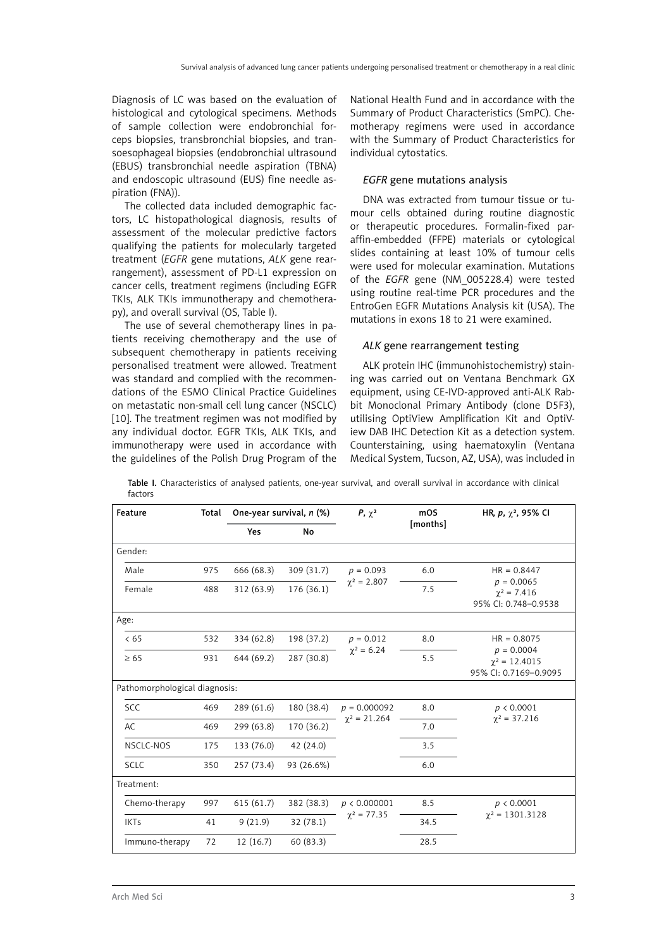Diagnosis of LC was based on the evaluation of histological and cytological specimens. Methods of sample collection were endobronchial forceps biopsies, transbronchial biopsies, and transoesophageal biopsies (endobronchial ultrasound (EBUS) transbronchial needle aspiration (TBNA) and endoscopic ultrasound (EUS) fine needle aspiration (FNA)).

The collected data included demographic factors, LC histopathological diagnosis, results of assessment of the molecular predictive factors qualifying the patients for molecularly targeted treatment (*EGFR* gene mutations, *ALK* gene rearrangement), assessment of PD-L1 expression on cancer cells, treatment regimens (including EGFR TKIs, ALK TKIs immunotherapy and chemotherapy), and overall survival (OS, Table I).

The use of several chemotherapy lines in patients receiving chemotherapy and the use of subsequent chemotherapy in patients receiving personalised treatment were allowed. Treatment was standard and complied with the recommendations of the ESMO Clinical Practice Guidelines on metastatic non-small cell lung cancer (NSCLC) [10]. The treatment regimen was not modified by any individual doctor. EGFR TKIs, ALK TKIs, and immunotherapy were used in accordance with the guidelines of the Polish Drug Program of the

National Health Fund and in accordance with the Summary of Product Characteristics (SmPC). Chemotherapy regimens were used in accordance with the Summary of Product Characteristics for individual cytostatics.

#### *EGFR* gene mutations analysis

DNA was extracted from tumour tissue or tumour cells obtained during routine diagnostic or therapeutic procedures. Formalin-fixed paraffin-embedded (FFPE) materials or cytological slides containing at least 10% of tumour cells were used for molecular examination. Mutations of the *EGFR* gene (NM\_005228.4) were tested using routine real-time PCR procedures and the EntroGen EGFR Mutations Analysis kit (USA). The mutations in exons 18 to 21 were examined.

#### *ALK* gene rearrangement testing

ALK protein IHC (immunohistochemistry) staining was carried out on Ventana Benchmark GX equipment, using CE-IVD-approved anti-ALK Rabbit Monoclonal Primary Antibody (clone D5F3), utilising OptiView Amplification Kit and OptiView DAB IHC Detection Kit as a detection system. Counterstaining, using haematoxylin (Ventana Medical System, Tucson, AZ, USA), was included in

| Feature                       | Total | One-year survival, n (%) |            | $P, \chi^2$                         | mOS      | HR, $p, \gamma^2$ , 95% CI                                                   |
|-------------------------------|-------|--------------------------|------------|-------------------------------------|----------|------------------------------------------------------------------------------|
|                               |       | Yes                      | No         |                                     | [months] |                                                                              |
| Gender:                       |       |                          |            |                                     |          |                                                                              |
| Male                          | 975   | 666 (68.3)               | 309 (31.7) | $p = 0.093$<br>$\chi^2 = 2.807$     | 6.0      | $HR = 0.8447$<br>$p = 0.0065$<br>$\gamma^2 = 7.416$<br>95% CI: 0.748-0.9538  |
| Female                        | 488   | 312 (63.9)               | 176 (36.1) |                                     | 7.5      |                                                                              |
| Age:                          |       |                          |            |                                     |          |                                                                              |
| < 65                          | 532   | 334 (62.8)               | 198 (37.2) | $p = 0.012$<br>$\chi^2 = 6.24$      | 8.0      | $HR = 0.8075$<br>$p = 0.0004$<br>$\chi^2 = 12.4015$<br>95% CI: 0.7169-0.9095 |
| $\geq 65$                     | 931   | 644 (69.2)               | 287 (30.8) |                                     | 5.5      |                                                                              |
| Pathomorphological diagnosis: |       |                          |            |                                     |          |                                                                              |
| <b>SCC</b>                    | 469   | 289 (61.6)               | 180 (38.4) | $p = 0.000092$<br>$\chi^2$ = 21.264 | 8.0      | p < 0.0001<br>$\chi^2 = 37.216$                                              |
| AC                            | 469   | 299 (63.8)               | 170 (36.2) |                                     | 7.0      |                                                                              |
| NSCLC-NOS                     | 175   | 133 (76.0)               | 42 (24.0)  |                                     | 3.5      |                                                                              |
| <b>SCLC</b>                   | 350   | 257 (73.4)               | 93 (26.6%) |                                     | 6.0      |                                                                              |
| Treatment:                    |       |                          |            |                                     |          |                                                                              |
| Chemo-therapy                 | 997   | 615(61.7)                | 382 (38.3) | p < 0.000001<br>$\chi^2 = 77.35$    | 8.5      | p < 0.0001<br>$\chi^2 = 1301.3128$                                           |
| <b>IKTs</b>                   | 41    | 9(21.9)                  | 32 (78.1)  |                                     | 34.5     |                                                                              |
| Immuno-therapy                | 72    | 12(16.7)                 | 60 (83.3)  |                                     | 28.5     |                                                                              |

Table I. Characteristics of analysed patients, one-year survival, and overall survival in accordance with clinical factors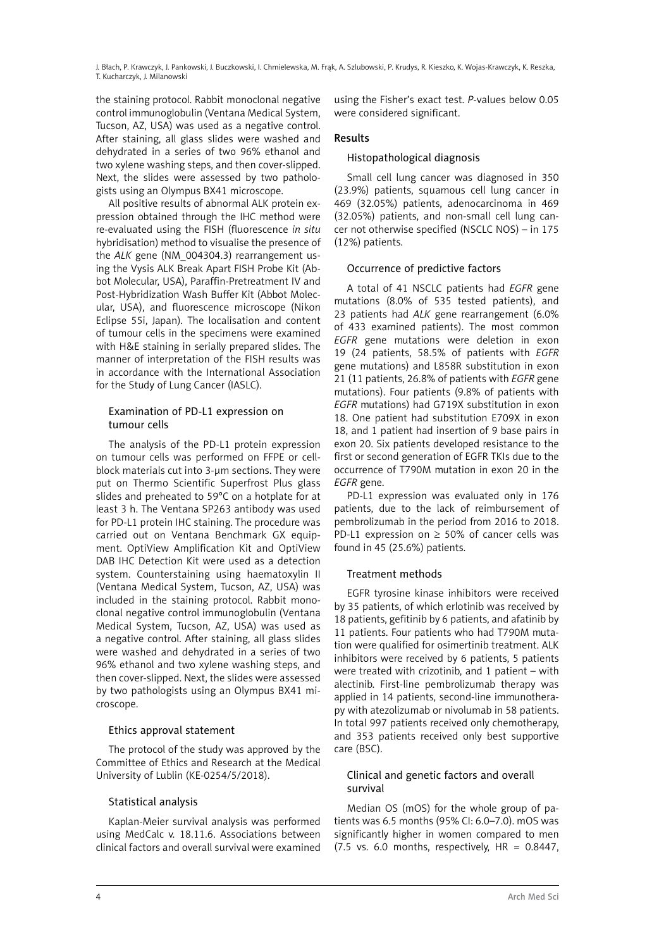the staining protocol. Rabbit monoclonal negative control immunoglobulin (Ventana Medical System, Tucson, AZ, USA) was used as a negative control. After staining, all glass slides were washed and dehydrated in a series of two 96% ethanol and two xylene washing steps, and then cover-slipped. Next, the slides were assessed by two pathologists using an Olympus BX41 microscope.

All positive results of abnormal ALK protein expression obtained through the IHC method were re-evaluated using the FISH (fluorescence *in situ* hybridisation) method to visualise the presence of the *ALK* gene (NM\_004304.3) rearrangement using the Vysis ALK Break Apart FISH Probe Kit (Abbot Molecular, USA), Paraffin-Pretreatment IV and Post-Hybridization Wash Buffer Kit (Abbot Molecular, USA), and fluorescence microscope (Nikon Eclipse 55i, Japan). The localisation and content of tumour cells in the specimens were examined with H&E staining in serially prepared slides. The manner of interpretation of the FISH results was in accordance with the International Association for the Study of Lung Cancer (IASLC).

#### Examination of PD-L1 expression on tumour cells

The analysis of the PD-L1 protein expression on tumour cells was performed on FFPE or cellblock materials cut into 3-μm sections. They were put on Thermo Scientific Superfrost Plus glass slides and preheated to 59°C on a hotplate for at least 3 h. The Ventana SP263 antibody was used for PD-L1 protein IHC staining. The procedure was carried out on Ventana Benchmark GX equipment. OptiView Amplification Kit and OptiView DAB IHC Detection Kit were used as a detection system. Counterstaining using haematoxylin II (Ventana Medical System, Tucson, AZ, USA) was included in the staining protocol. Rabbit monoclonal negative control immunoglobulin (Ventana Medical System, Tucson, AZ, USA) was used as a negative control. After staining, all glass slides were washed and dehydrated in a series of two 96% ethanol and two xylene washing steps, and then cover-slipped. Next, the slides were assessed by two pathologists using an Olympus BX41 microscope.

# Ethics approval statement

The protocol of the study was approved by the Committee of Ethics and Research at the Medical University of Lublin (KE-0254/5/2018).

# Statistical analysis

Kaplan-Meier survival analysis was performed using MedCalc v. 18.11.6. Associations between clinical factors and overall survival were examined using the Fisher's exact test. *P*-values below 0.05 were considered significant.

# Results

## Histopathological diagnosis

Small cell lung cancer was diagnosed in 350 (23.9%) patients, squamous cell lung cancer in 469 (32.05%) patients, adenocarcinoma in 469 (32.05%) patients, and non-small cell lung cancer not otherwise specified (NSCLC NOS) – in 175 (12%) patients.

## Occurrence of predictive factors

A total of 41 NSCLC patients had *EGFR* gene mutations (8.0% of 535 tested patients), and 23 patients had *ALK* gene rearrangement (6.0% of 433 examined patients). The most common *EGFR* gene mutations were deletion in exon 19 (24 patients, 58.5% of patients with *EGFR* gene mutations) and L858R substitution in exon 21 (11 patients, 26.8% of patients with *EGFR* gene mutations). Four patients (9.8% of patients with *EGFR* mutations) had G719X substitution in exon 18. One patient had substitution E709X in exon 18, and 1 patient had insertion of 9 base pairs in exon 20. Six patients developed resistance to the first or second generation of EGFR TKIs due to the occurrence of T790M mutation in exon 20 in the *EGFR* gene.

PD-L1 expression was evaluated only in 176 patients, due to the lack of reimbursement of pembrolizumab in the period from 2016 to 2018. PD-L1 expression on  $\geq$  50% of cancer cells was found in 45 (25.6%) patients.

# Treatment methods

EGFR tyrosine kinase inhibitors were received by 35 patients, of which erlotinib was received by 18 patients, gefitinib by 6 patients, and afatinib by 11 patients. Four patients who had T790M mutation were qualified for osimertinib treatment. ALK inhibitors were received by 6 patients, 5 patients were treated with crizotinib, and 1 patient – with alectinib. First-line pembrolizumab therapy was applied in 14 patients, second-line immunotherapy with atezolizumab or nivolumab in 58 patients. In total 997 patients received only chemotherapy, and 353 patients received only best supportive care (BSC).

# Clinical and genetic factors and overall survival

Median OS (mOS) for the whole group of patients was 6.5 months (95% CI: 6.0–7.0). mOS was significantly higher in women compared to men (7.5 vs. 6.0 months, respectively,  $HR = 0.8447$ ,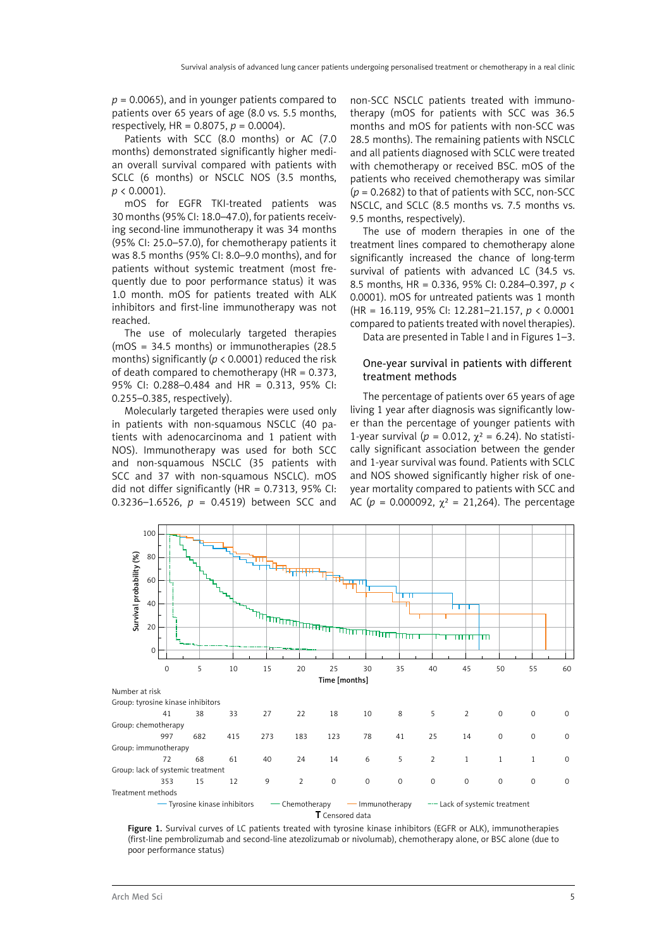*p* = 0.0065), and in younger patients compared to patients over 65 years of age (8.0 vs. 5.5 months, respectively, HR = 0.8075, *p* = 0.0004).

Patients with SCC (8.0 months) or AC (7.0 months) demonstrated significantly higher median overall survival compared with patients with SCLC (6 months) or NSCLC NOS (3.5 months, *p* < 0.0001).

mOS for EGFR TKI-treated patients was 30 months (95% CI: 18.0–47.0), for patients receiving second-line immunotherapy it was 34 months (95% CI: 25.0–57.0), for chemotherapy patients it was 8.5 months (95% CI: 8.0–9.0 months), and for patients without systemic treatment (most frequently due to poor performance status) it was 1.0 month. mOS for patients treated with ALK inhibitors and first-line immunotherapy was not reached.

The use of molecularly targeted therapies (mOS = 34.5 months) or immunotherapies (28.5 months) significantly (*p* < 0.0001) reduced the risk of death compared to chemotherapy (HR = 0.373, 95% CI: 0.288–0.484 and HR = 0.313, 95% CI: 0.255–0.385, respectively).

Molecularly targeted therapies were used only in patients with non-squamous NSCLC (40 patients with adenocarcinoma and 1 patient with NOS). Immunotherapy was used for both SCC and non-squamous NSCLC (35 patients with SCC and 37 with non-squamous NSCLC). mOS did not differ significantly ( $HR = 0.7313$ , 95% CI: 0.3236–1.6526, *p* = 0.4519) between SCC and

non-SCC NSCLC patients treated with immunotherapy (mOS for patients with SCC was 36.5 months and mOS for patients with non-SCC was 28.5 months). The remaining patients with NSCLC and all patients diagnosed with SCLC were treated with chemotherapy or received BSC. mOS of the patients who received chemotherapy was similar (*p* = 0.2682) to that of patients with SCC, non-SCC NSCLC, and SCLC (8.5 months vs. 7.5 months vs. 9.5 months, respectively).

The use of modern therapies in one of the treatment lines compared to chemotherapy alone significantly increased the chance of long-term survival of patients with advanced LC (34.5 vs. 8.5 months, HR = 0.336, 95% CI: 0.284–0.397, *p* < 0.0001). mOS for untreated patients was 1 month (HR = 16.119, 95% CI: 12.281–21.157, *p* < 0.0001 compared to patients treated with novel therapies).

Data are presented in Table I and in Figures 1–3.

## One-year survival in patients with different treatment methods

The percentage of patients over 65 years of age living 1 year after diagnosis was significantly lower than the percentage of younger patients with 1-year survival ( $p = 0.012$ ,  $χ² = 6.24$ ). No statistically significant association between the gender and 1-year survival was found. Patients with SCLC and NOS showed significantly higher risk of oneyear mortality compared to patients with SCC and AC ( $p = 0.000092$ ,  $\gamma^2 = 21,264$ ). The percentage



Figure 1. Survival curves of LC patients treated with tyrosine kinase inhibitors (EGFR or ALK), immunotherapies (first-line pembrolizumab and second-line atezolizumab or nivolumab), chemotherapy alone, or BSC alone (due to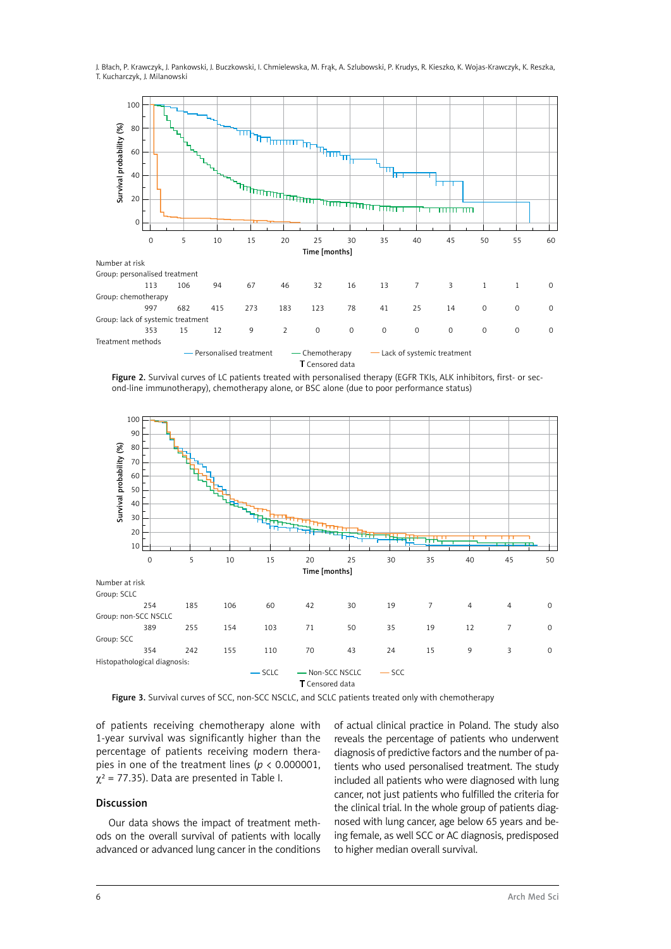

T Censored data

Figure 2. Survival curves of LC patients treated with personalised therapy (EGFR TKIs, ALK inhibitors, first- or second-line immunotherapy), chemotherapy alone, or BSC alone (due to poor performance status)



of patients receiving chemotherapy alone with 1-year survival was significantly higher than the percentage of patients receiving modern therapies in one of the treatment lines (*p* < 0.000001,  $\chi^2$  = 77.35). Data are presented in Table I.

#### Discussion

Our data shows the impact of treatment methods on the overall survival of patients with locally advanced or advanced lung cancer in the conditions of actual clinical practice in Poland. The study also reveals the percentage of patients who underwent diagnosis of predictive factors and the number of patients who used personalised treatment. The study included all patients who were diagnosed with lung cancer, not just patients who fulfilled the criteria for the clinical trial. In the whole group of patients diagnosed with lung cancer, age below 65 years and being female, as well SCC or AC diagnosis, predisposed to higher median overall survival.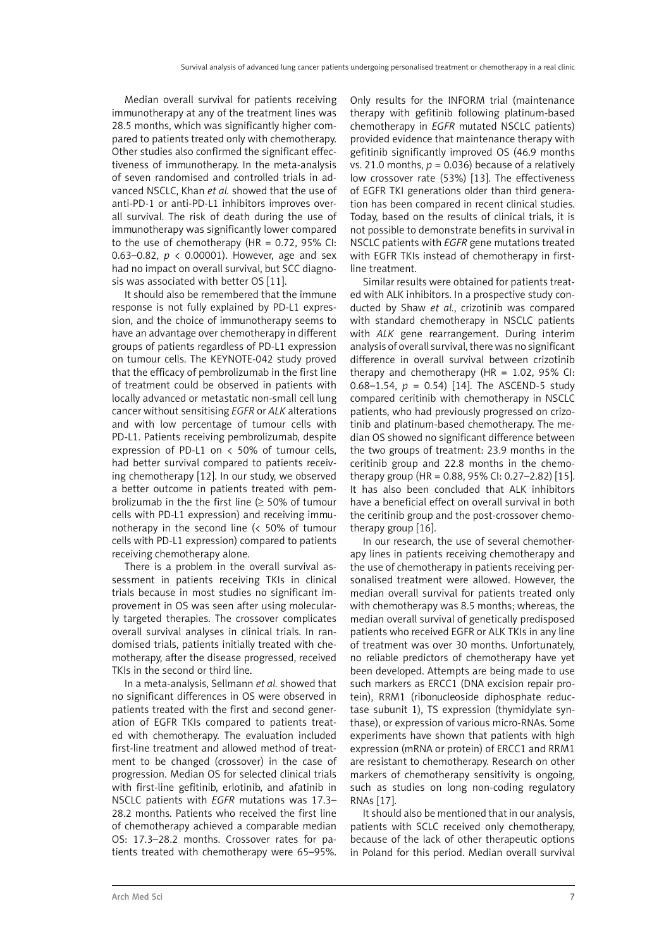Median overall survival for patients receiving immunotherapy at any of the treatment lines was 28.5 months, which was significantly higher compared to patients treated only with chemotherapy. Other studies also confirmed the significant effectiveness of immunotherapy. In the meta-analysis of seven randomised and controlled trials in advanced NSCLC, Khan *et al.* showed that the use of anti-PD-1 or anti-PD-L1 inhibitors improves overall survival. The risk of death during the use of immunotherapy was significantly lower compared to the use of chemotherapy  $(HR = 0.72, 95\%$  CI: 0.63–0.82, *p* < 0.00001). However, age and sex had no impact on overall survival, but SCC diagnosis was associated with better OS [11].

It should also be remembered that the immune response is not fully explained by PD-L1 expression, and the choice of immunotherapy seems to have an advantage over chemotherapy in different groups of patients regardless of PD-L1 expression on tumour cells. The KEYNOTE-042 study proved that the efficacy of pembrolizumab in the first line of treatment could be observed in patients with locally advanced or metastatic non-small cell lung cancer without sensitising *EGFR* or *ALK* alterations and with low percentage of tumour cells with PD-L1. Patients receiving pembrolizumab, despite expression of PD-L1 on < 50% of tumour cells, had better survival compared to patients receiving chemotherapy [12]. In our study, we observed a better outcome in patients treated with pembrolizumab in the the first line ( $\geq$  50% of tumour cells with PD-L1 expression) and receiving immunotherapy in the second line (< 50% of tumour cells with PD-L1 expression) compared to patients receiving chemotherapy alone.

There is a problem in the overall survival assessment in patients receiving TKIs in clinical trials because in most studies no significant improvement in OS was seen after using molecularly targeted therapies. The crossover complicates overall survival analyses in clinical trials. In randomised trials, patients initially treated with chemotherapy, after the disease progressed, received TKIs in the second or third line.

In a meta-analysis, Sellmann *et al.* showed that no significant differences in OS were observed in patients treated with the first and second generation of EGFR TKIs compared to patients treated with chemotherapy. The evaluation included first-line treatment and allowed method of treatment to be changed (crossover) in the case of progression. Median OS for selected clinical trials with first-line gefitinib, erlotinib, and afatinib in NSCLC patients with *EGFR* mutations was 17.3– 28.2 months. Patients who received the first line of chemotherapy achieved a comparable median OS: 17.3–28.2 months. Crossover rates for patients treated with chemotherapy were 65–95%. Only results for the INFORM trial (maintenance therapy with gefitinib following platinum-based chemotherapy in *EGFR* mutated NSCLC patients) provided evidence that maintenance therapy with gefitinib significantly improved OS (46.9 months vs. 21.0 months,  $p = 0.036$ ) because of a relatively low crossover rate (53%) [13]. The effectiveness of EGFR TKI generations older than third generation has been compared in recent clinical studies. Today, based on the results of clinical trials, it is not possible to demonstrate benefits in survival in NSCLC patients with *EGFR* gene mutations treated with EGFR TKIs instead of chemotherapy in firstline treatment.

Similar results were obtained for patients treated with ALK inhibitors. In a prospective study conducted by Shaw *et al.*, crizotinib was compared with standard chemotherapy in NSCLC patients with *ALK* gene rearrangement. During interim analysis of overall survival, there was no significant difference in overall survival between crizotinib therapy and chemotherapy (HR =  $1.02$ , 95% CI: 0.68–1.54,  $p = 0.54$  [14]. The ASCEND-5 study compared ceritinib with chemotherapy in NSCLC patients, who had previously progressed on crizotinib and platinum-based chemotherapy. The median OS showed no significant difference between the two groups of treatment: 23.9 months in the ceritinib group and 22.8 months in the chemotherapy group (HR = 0.88, 95% CI: 0.27–2.82) [15]. It has also been concluded that ALK inhibitors have a beneficial effect on overall survival in both the ceritinib group and the post-crossover chemotherapy group [16].

In our research, the use of several chemotherapy lines in patients receiving chemotherapy and the use of chemotherapy in patients receiving personalised treatment were allowed. However, the median overall survival for patients treated only with chemotherapy was 8.5 months; whereas, the median overall survival of genetically predisposed patients who received EGFR or ALK TKIs in any line of treatment was over 30 months. Unfortunately, no reliable predictors of chemotherapy have yet been developed. Attempts are being made to use such markers as ERCC1 (DNA excision repair protein), RRM1 (ribonucleoside diphosphate reductase subunit 1), TS expression (thymidylate synthase), or expression of various micro-RNAs. Some experiments have shown that patients with high expression (mRNA or protein) of ERCC1 and RRM1 are resistant to chemotherapy. Research on other markers of chemotherapy sensitivity is ongoing, such as studies on long non-coding regulatory RNAs [17].

It should also be mentioned that in our analysis, patients with SCLC received only chemotherapy, because of the lack of other therapeutic options in Poland for this period. Median overall survival